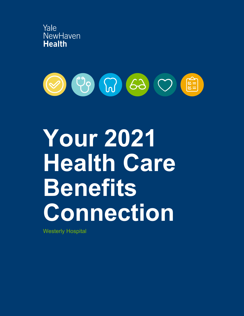



# **Your 2021 Health Care Benefits Connection**

Westerly Hospital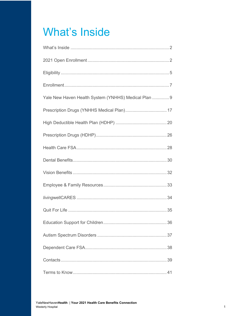## **What's Inside**

| Yale New Haven Health System (YNHHS) Medical Plan  9 |
|------------------------------------------------------|
|                                                      |
|                                                      |
|                                                      |
|                                                      |
|                                                      |
|                                                      |
|                                                      |
|                                                      |
|                                                      |
|                                                      |
|                                                      |
|                                                      |
|                                                      |
|                                                      |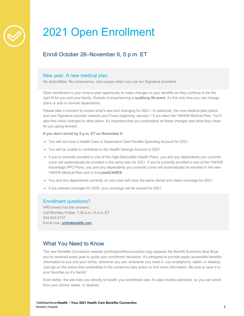

## 2021 Open Enrollment

## Enroll October 26–November 6, 5 p.m. ET

## New year. A new medical plan.

No deductibles. No coinsurance. Just copays when you use our Signature providers.

Open enrollment is your once-a-year opportunity to make changes to your benefits so they continue to be the right fit for you and your family. Outside of experiencing a qualifying life event, it's the only time you can change plans or add or remove dependents.

Please take a moment to review what's new and changing for 2021—in particular, the new medical plan option and new Signature provider network you'll have beginning January 1 if you elect the YNHHS Medical Plan. You'll also find minor changes to other plans. It's important that you understand all these changes and what they mean for you going forward.

#### **If you don't enroll by 5 p.m. ET on November 6:**

- You will not have a Health Care or Dependent Care Flexible Spending Account for 2021.
- You will be unable to contribute to the Health Savings Account in 2021.
- If you're currently enrolled in one of the High-Deductible Health Plans, you and any dependents you currently cover will automatically be enrolled in the same plan for 2021. If you're currently enrolled in one of the YNHHS Advantage PPO Plans, you and any dependents you currently cover will automatically be enrolled in the new YNHHS Medical Plan and in living**wellCARES**.
- You and any dependents currently on your plan will have the same dental and vision coverage for 2021.
- If you waived coverage for 2020, your coverage will be waived for 2021.

## Enrollment questions?

HRConnect has the answers. Call Monday–Friday, 7:30 a.m.–5 p.m. ET 844-543-2147 Enroll now: ynhhsbenefits.com

## What You Need to Know

The new Benefits Connection website (ynhhsbenefitsconnection.org) replaces the Benefit Summary Blue Book you've received every year to guide your enrollment decisions. It's designed to provide easily accessible benefits information to you and your family, wherever you are, whenever you need it—via smartphone, tablet, or desktop. Just tap on the active links embedded in the content to take action or find more information. Be sure to save it to your favorites so it's handy!

Even better, the site links you directly to bswift, your enrollment site. It's also mobile-optimized, so you can enroll from your phone, tablet, or desktop.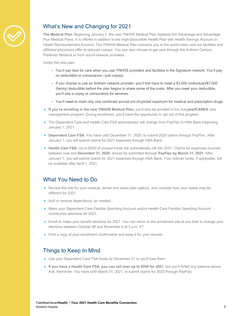

## What's New and Changing for 2021

**The Medical Plan.** Beginning January 1, the new YNHHS Medical Plan replaces the Advantage and Advantage Plus Medical Plans. It is offered in addition to the High-Deductible Health Plan with Health Savings Account or Health Reimbursement Account. The YNHHS Medical Plan connects you to the world-class care our facilities and affiliated physicians offer at reduced copays. You can also choose to get care through the Anthem Century Preferred Network or from out-of-network providers.

Under the new plan:

- You'll pay less for care when you use YNHHS providers and facilities in the Signature network. You'll pay no deductible or coinsurance—just copays.
- If you choose to use an Anthem network provider, you'll first have to meet a \$3,500 (individual)/\$7,000 (family) deductible before the plan begins to share some of the costs. After you meet your deductible, you'll pay a copay or coinsurance for services.
- You'll need to meet only one combined annual out-of-pocket maximum for medical and prescription drugs.
- **If you're enrolling in the new YNHHS Medical Plan,** you'll also be enrolled in the *living***wellCARES** care management program. During enrollment, you'll have the opportunity to opt out of this program.
- The Dependent Care and Health Care FSA administrator will change from PayFlex to HSA Bank beginning January 1, 2021.
- **Dependent Care FSA.** You have until December 31, 2020, to submit 2020 claims through PayFlex. After January 1, you will submit claims for 2021 expenses through HSA Bank.
- Health Care FSA. Up to \$550 of unused funds will automatically roll into 2021. Claims for expenses incurred between now and **December 31, 2020**, should be submitted through **PayFlex by March 31, 2021**. After January 1, you will submit claims for 2021 expenses through HSA Bank. Your rollover funds, if applicable, will be available after April 1, 2021.

## What You Need to Do

- Review this site for your medical, dental and vision plan options, and consider how your needs may be different for 2021.
- Add or remove dependents, as needed.
- Make your Dependent Care Flexible Spending Account and/or Health Care Flexible Spending Account contribution elections for 2021.
- Enroll to make your benefit elections for 2021. You can return to the enrollment site at any time to change your elections between October 26 and November 6 at 5 p.m. ET.
- Print a copy of your enrollment confirmation and keep it for your records.

## Things to Keep In Mind

- Use your Dependent Care FSA funds by December 31 or you'll lose them.
- **If you have a Health Care FSA, you can roll over up to \$550 for 2021**, but you'll forfeit any balance above that. Reminder: You have until March 31, 2021, to submit claims for 2020 through PayFlex.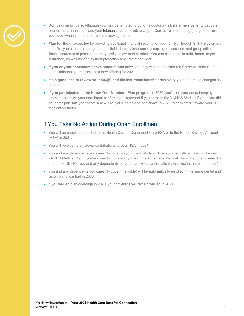

- **Don't skimp on care.** Although you may be tempted to put off a doctor's visit, it's always better to get care sooner rather than later. Use your telehealth benefit [link to Urgent Care & Telehealth page] to get the care you need, when you need it—without leaving home.
- **Plan for the unexpected** by providing additional financial security for your family. Through YNHHS voluntary benefits, you can purchase group hospital indemnity insurance, group legal insurance, and group critical illness insurance at prices that are typically below market rates. You can also enroll in auto, home, or pet insurance, as well as identity theft protection any time of the year.
- **If you or your dependents have student loan debt,** you may want to consider the Common Bond Student Loan Refinancing program. It's a new offering for 2021.
- **It's a good idea to review your 403(b) and life insurance beneficiaries** every year, and make changes as needed.
- **If you participated in the Know Your Numbers Plus program** in 2020, you'll see your annual employee premium credit on your enrollment confirmation statement if you enroll in the YNHHS Medical Plan. If you did not participate this year or are a new hire, you'll be able to participate in 2021 to earn credit toward your 2022 medical premium.

## If You Take No Action During Open Enrollment

- You will be unable to contribute to a Health Care or Dependent Care FSA or to the Health Savings Account (HSA) in 2021.
- You will receive no employer contributions to your HSA in 2021.
- You and any dependents you currently cover on your medical plan will be automatically enrolled in the new YNHHS Medical Plan if you're currently covered by one of the Advantage Medical Plans. If you're covered by one of the HDHPs, you and any dependents on your plan will be automatically enrolled in that plan for 2021.
- You and any dependents you currently cover (if eligible) will be automatically enrolled in the same dental and vision plans you had in 2020.
- If you waived plan coverage in 2020, your coverage will remain waived in 2021.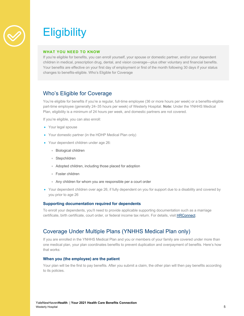

## **Eligibility**

#### **WHAT YOU NEED TO KNOW**

If you're eligible for benefits, you can enroll yourself, your spouse or domestic partner, and/or your dependent children in medical, prescription drug, dental, and vision coverage—plus other voluntary and financial benefits. Your benefits are effective on your first day of employment or first of the month following 30 days if your status changes to benefits-eligible. Who's Eligible for Coverage

## Who's Eligible for Coverage

You're eligible for benefits if you're a regular, full-time employee (36 or more hours per week) or a benefits-eligible part-time employee (generally 24–35 hours per week) of Westerly Hospital. **Note:** Under the YNHHS Medical Plan, eligibility is a minimum of 24 hours per week, and domestic partners are not covered.

If you're eligible, you can also enroll:

- Your legal spouse
- Your domestic partner (in the HDHP Medical Plan only)
- Your dependent children under age 26:
	- Biological children
	- Stepchildren
	- Adopted children, including those placed for adoption
	- Foster children
	- Any children for whom you are responsible per a court order
- Your dependent children over age 26, if fully dependent on you for support due to a disability and covered by you prior to age 26

#### **Supporting documentation required for dependents**

To enroll your dependents, you'll need to provide applicable supporting documentation such as a marriage certificate, birth certificate, court order, or federal income tax return. For details, visit HRConnect.

## Coverage Under Multiple Plans (YNHHS Medical Plan only)

If you are enrolled in the YNHHS Medical Plan and you or members of your family are covered under more than one medical plan, your plan coordinates benefits to prevent duplication and overpayment of benefits. Here's how that works:

#### **When you (the employee) are the patient**

Your plan will be the first to pay benefits. After you submit a claim, the other plan will then pay benefits according to its policies.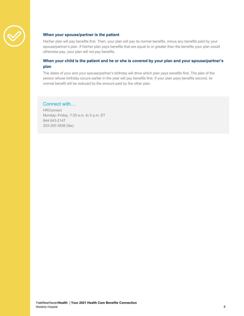

#### **When your spouse/partner is the patient**

His/her plan will pay benefits first. Then, your plan will pay its normal benefits, minus any benefits paid by your spouse/partner's plan. If his/her plan pays benefits that are equal to or greater than the benefits your plan would otherwise pay, your plan will not pay benefits.

## **When your child is the patient and he or she is covered by your plan and your spouse/partner's plan**

The dates of your and your spouse/partner's birthday will drive which plan pays benefits first. The plan of the person whose birthday occurs earlier in the year will pay benefits first. If your plan pays benefits second, its normal benefit will be reduced by the amount paid by the other plan.

## Connect with…

**HRConnect** Monday–Friday, 7:30 a.m. to 5 p.m. ET 844-543-2147 203-200-3838 (fax)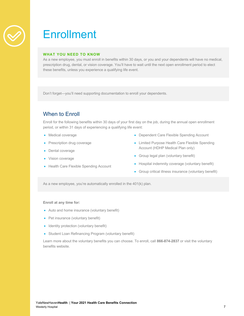

## **Enrollment**

### **WHAT YOU NEED TO KNOW**

As a new employee, you must enroll in benefits within 30 days, or you and your dependents will have no medical, prescription drug, dental, or vision coverage. You'll have to wait until the next open enrollment period to elect these benefits, unless you experience a qualifying life event.

Don't forget—you'll need supporting documentation to enroll your dependents.

## When to Enroll

Enroll for the following benefits within 30 days of your first day on the job, during the annual open enrollment period, or within 31 days of experiencing a qualifying life event:

- Medical coverage
- Prescription drug coverage
- Dental coverage
- Vision coverage
- Health Care Flexible Spending Account
- Dependent Care Flexible Spending Account
- Limited Purpose Health Care Flexible Spending Account (HDHP Medical Plan only)
- Group legal plan (voluntary benefit)
- Hospital indemnity coverage (voluntary benefit)
- Group critical illness insurance (voluntary benefit)

As a new employee, you're automatically enrolled in the 401(k) plan.

**Enroll at any time for:**

- Auto and home insurance (voluntary benefit)
- Pet insurance (voluntary benefit)
- Identity protection (voluntary benefit)
- Student Loan Refinancing Program (voluntary benefit)

Learn more about the voluntary benefits you can choose. To enroll, call **866-874-2837** or visit the voluntary benefits website.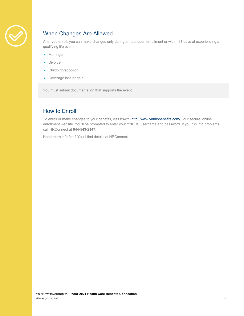

## When Changes Are Allowed

After you enroll, you can make changes only during annual open enrollment or within 31 days of experiencing a qualifying life event:

- Marriage
- Divorce
- Childbirth/adoption
- Coverage loss or gain

You must submit documentation that supports the event.

## How to Enroll

To enroll or make changes to your benefits, visit bswift (http://www.ynhhsbenefits.com/), our secure, online enrollment website. You'll be prompted to enter your YNHHS username and password. If you run into problems, call HRConnect at **844-543-2147**.

Need more info first? You'll find details at HRConnect.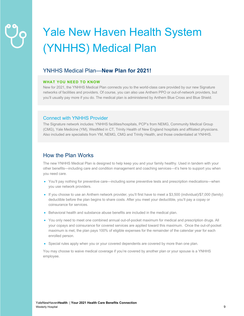## Yale New Haven Health System (YNHHS) Medical Plan

## YNHHS Medical Plan—**New Plan for 2021!**

### **WHAT YOU NEED TO KNOW**

New for 2021, the YNHHS Medical Plan connects you to the world-class care provided by our new Signature networks of facilities and providers. Of course, you can also use Anthem PPO or out-of-network providers, but you'll usually pay more if you do. The medical plan is administered by Anthem Blue Cross and Blue Shield.

## Connect with YNHHS Provider

The Signature network includes: YNHHS facilities/hospitals, PCP's from NEMG, Community Medical Group (CMG), Yale Medicine (YM), WestMed in CT, Trinity Health of New England hospitals and affiliated physicians. Also included are specialists from YM, NEMG, CMG and Trinity Health, and those credentialed at YNHHS.

## How the Plan Works

The new YNHHS Medical Plan is designed to help keep you and your family healthy. Used in tandem with your other benefits—including care and condition management and coaching services—it's here to support you when you need care.

- You'll pay nothing for preventive care—including some preventive tests and prescription medications—when you use network providers.
- If you choose to use an Anthem network provider, you'll first have to meet a \$3,500 (individual)/\$7,000 (family) deductible before the plan begins to share costs. After you meet your deductible, you'll pay a copay or coinsurance for services.
- Behavioral health and substance abuse benefits are included in the medical plan.
- You only need to meet one combined annual out-of-pocket maximum for medical and prescription drugs. All your copays and coinsurance for covered services are applied toward this maximum. Once the out-of-pocket maximum is met, the plan pays 100% of eligible expenses for the remainder of the calendar year for each enrolled person.
- Special rules apply when you or your covered dependents are covered by more than one plan.

You may choose to waive medical coverage if you're covered by another plan or your spouse is a YNHHS employee.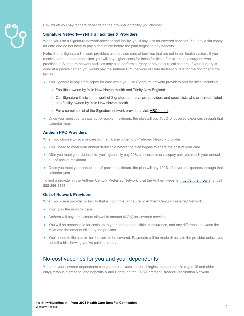

How much you pay for care depends on the provider or facility you choose:

#### **Signature Network—YNHHS Facilities & Providers**

When you use a Signature network provider and facility, you'll pay less for covered services. You pay a flat copay for care and do not have to pay a deductible before the plan begins to pay benefits.

**Note:** Some Signature Network providers also provide care at facilities that are not in our health system. If you receive care at these other sites, you will pay higher costs for these facilities. For example, a surgeon who practices at Signature network facilities may also perform surgery at private surgical centers. If your surgery is done at a private center, you would pay the Anthem PPO network or Out-Of-Network rate for the doctor and the facility.

- You'll generally pay a flat copay for care when you use Signature network providers and facilities, including:
	- Facilities owned by Yale New Haven Health and Trinity New England
	- Our Signature Clinician network of Signature primary care providers and specialists who are credentialed at a facility owned by Yale New Haven Health
	- For a complete list of the Signature network providers, visit HRConnect.
- Once you meet your annual out-of-pocket maximum, the plan will pay 100% of covered expenses through that calendar year.

#### **Anthem PPO Providers**

When you choose to receive care from an Anthem Century Preferred Network provider:

- You'll need to meet your annual deductible before the plan begins to share the cost of your care.
- After you meet your deductible, you'll generally pay 20% coinsurance or a copay until you reach your annual out-of-pocket maximum.
- Once you meet your annual out-of-pocket maximum, the plan will pay 100% of covered expenses through that calendar year.

To find a provider in the Anthem Century Preferred Network, visit the Anthem website (http://anthem.com/) or call **888-266-2896**.

#### **Out-of-Network Providers**

When you use a provider or facility that is not in the Signature or Anthem Century Preferred Network:

- You'll pay the most for care.
- Anthem will pay a maximum allowable amount (MAA) for covered services.
- You will be responsible for costs up to your annual deductible, coinsurance, and any difference between the MAA and the amount billed by the provider.
- You'll need to file a claim for the care to be covered. Payments will be made directly to the provider unless you submit a bill showing you've paid it already.

## No-cost vaccines for you and your dependents

You and your covered dependents can get no-cost vaccines for shingles, pneumonia, flu (ages 18 and older only), tetanus/diphtheria, and hepatitis A and B through the CVS Caremark Broader Vaccination Network.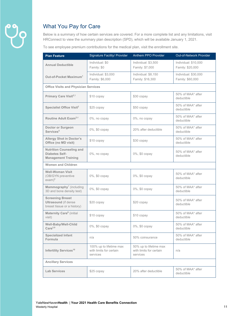

## What You Pay for Care

Below is a summary of how certain services are covered. For a more complete list and any limitations, visit HRConnect to view the summary plan description (SPD), which will be available January 1, 2021.

To see employee premium contributions for the medical plan, visit the enrollment site.

| <b>Plan Feature</b>                                                                   | <b>Signature Facility/ Provider</b>                            | Anthem PPO Provider                                           | <b>Out-of-Network Provider</b>           |
|---------------------------------------------------------------------------------------|----------------------------------------------------------------|---------------------------------------------------------------|------------------------------------------|
| <b>Annual Deductible</b>                                                              | Individual: \$0<br>Family: \$0                                 | Individual: \$3,500<br>Family: \$7,000                        | Individual: \$10,000<br>Family: \$20,000 |
| Out-of-Pocket Maximum <sup>1</sup>                                                    | Individual: \$3,000<br>Family: \$6,000                         | Individual: \$8,150<br>Family: \$16,300                       | Individual: \$30,000<br>Family: \$60,000 |
| <b>Office Visits and Physician Services</b>                                           |                                                                |                                                               |                                          |
| Primary Care Visit <sup>2,3</sup>                                                     | \$10 copay                                                     | \$30 copay                                                    | 50% of MAA* after<br>deductible          |
| Specialist Office Visit <sup>2</sup>                                                  | \$25 copay                                                     | \$50 copay                                                    | 50% of MAA* after<br>deductible          |
| Routine Adult Exam <sup>2,4</sup>                                                     | 0%, no copay                                                   | 0%, no copay                                                  | 50% of MAA* after<br>deductible          |
| <b>Doctor or Surgeon</b><br>Services <sup>5</sup>                                     | 0%, \$0 copay                                                  | 20% after deductible                                          | 50% of MAA* after<br>deductible          |
| <b>Allergy Shot in Doctor's</b><br>Office (no MD visit)                               | \$10 copay                                                     | \$30 copay                                                    | 50% of MAA* after<br>deductible          |
| <b>Nutrition Counseling and</b><br>Diabetes Self-<br><b>Management Training</b>       | 0%, no copay                                                   | 0%, \$0 copay                                                 | 50% of MAA* after<br>deductible          |
| <b>Women and Children</b>                                                             |                                                                |                                                               |                                          |
| <b>Well-Woman Visit</b><br>(OB/GYN preventive<br>$exam)$ <sup>6</sup>                 | 0%, \$0 copay                                                  | 0%, \$0 copay                                                 | 50% of MAA* after<br>deductible          |
| Mammography <sup>7</sup> (including<br>3D and bone density test)                      | 0%, \$0 copay                                                  | 0%, \$0 copay                                                 | 50% of MAA* after<br>deductible          |
| <b>Screening Breast</b><br><b>Ultrasound</b> (if dense<br>breast tissue or a history) | \$20 copay                                                     | \$20 copay                                                    | 50% of MAA* after<br>deductible          |
| Maternity Care <sup>8</sup> (initial<br>visit)                                        | \$10 copay                                                     | \$10 copay                                                    | 50% of MAA* after<br>deductible          |
| Well-Baby/Well-Child<br>Care <sup>2,9</sup>                                           | 0%, \$0 copay                                                  | 0%, \$0 copay                                                 | 50% of MAA* after<br>deductible          |
| <b>Specialized Infant</b><br>Formula                                                  | n/a                                                            | 50% coinsurance                                               | 50% of MAA* after<br>deductible          |
| Infertility Services <sup>10</sup>                                                    | 100% up to lifetime max<br>with limits for certain<br>services | 50% up to lifetime max<br>with limits for certain<br>services | n/a                                      |
| <b>Ancillary Services</b>                                                             |                                                                |                                                               |                                          |
| <b>Lab Services</b>                                                                   | \$25 copay                                                     | 20% after deductible                                          | 50% of MAA* after<br>deductible          |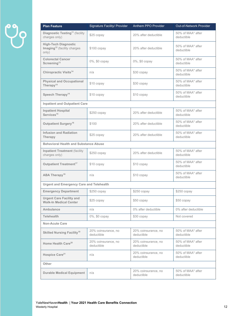| <b>Plan Feature</b>                                                             | Signature Facility/ Provider      | Anthem PPO Provider               | Out-of-Network Provider         |
|---------------------------------------------------------------------------------|-----------------------------------|-----------------------------------|---------------------------------|
| Diagnostic Testing <sup>11</sup> (facility<br>charges only)                     | \$25 copay                        | 20% after deductible              | 50% of MAA* after<br>deductible |
| <b>High-Tech Diagnostic</b><br>Imaging <sup>12</sup> (facility charges<br>only) | $$100$ copay                      | 20% after deductible              | 50% of MAA* after<br>deductible |
| <b>Colorectal Cancer</b><br>Screening <sup>13</sup>                             | 0%, \$0 copay                     | 0%, \$0 copay                     | 50% of MAA* after<br>deductible |
| <b>Chiropractic Visits<sup>14</sup></b>                                         | n/a                               | \$30 copay                        | 50% of MAA* after<br>deductible |
| <b>Physical and Occupational</b><br>Therapy <sup>14</sup>                       | \$10 copay                        | \$30 copay                        | 50% of MAA* after<br>deductible |
| Speech Therapy <sup>14</sup>                                                    | \$10 copay                        | \$10 copay                        | 50% of MAA* after<br>deductible |
| <b>Inpatient and Outpatient Care</b>                                            |                                   |                                   |                                 |
| <b>Inpatient Hospital</b><br>Services <sup>15</sup>                             | $$250$ copay                      | 20% after deductible              | 50% of MAA* after<br>deductible |
| Outpatient Surgery <sup>16</sup>                                                | \$100                             | 20% after deductible              | 50% of MAA* after<br>deductible |
| <b>Infusion and Radiation</b><br>Therapy                                        | \$25 copay                        | 20% after deductible              | 50% of MAA* after<br>deductible |
| <b>Behavioral Health and Substance Abuse</b>                                    |                                   |                                   |                                 |
| <b>Inpatient Treatment (facility</b><br>charges only)                           | $$250$ copay                      | 20% after deductible              | 50% of MAA* after<br>deductible |
| Outpatient Treatment <sup>17</sup>                                              | \$10 copay                        | \$10 copay                        | 50% of MAA* after<br>deductible |
| ABA Therapy <sup>18</sup>                                                       | n/a                               | $$10$ copay                       | 50% of MAA* after<br>deductible |
| <b>Urgent and Emergency Care and Telehealth</b>                                 |                                   |                                   |                                 |
| <b>Emergency Department</b>                                                     | \$250 copay                       | $$250$ copay                      | $$250$ copay                    |
| <b>Urgent Care Facility and</b><br><b>Walk-In Medical Center</b>                | \$25 copay                        | \$50 copay                        | \$50 copay                      |
| Ambulance                                                                       | n/a                               | 0% after deductible               | 0% after deductible             |
| <b>Telehealth</b>                                                               | 0%, \$0 copay                     | \$30 copay                        | Not covered                     |
| <b>Non-Acute Care</b>                                                           |                                   |                                   |                                 |
| <b>Skilled Nursing Facility<sup>19</sup></b>                                    | 20% coinsurance, no<br>deductible | 20% coinsurance, no<br>deductible | 50% of MAA* after<br>deductible |
| Home Health Care <sup>20</sup>                                                  | 20% coinsurance, no<br>deductible | 20% coinsurance, no<br>deductible | 50% of MAA* after<br>deductible |
| Hospice Care <sup>21</sup>                                                      | n/a                               | 20% coinsurance, no<br>deductible | 50% of MAA* after<br>deductible |
| Other                                                                           |                                   |                                   |                                 |
| <b>Durable Medical Equipment</b>                                                | n/a                               | 20% coinsurance, no<br>deductible | 50% of MAA* after<br>deductible |
|                                                                                 |                                   |                                   |                                 |

 $\ddot{\rho}$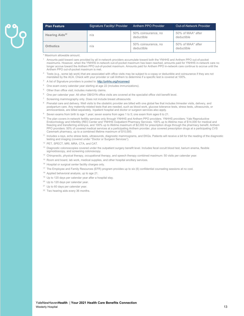

| <b>Plan Feature</b>        | Signature Facility/ Provider | Anthem PPO Provider               | Out-of-Network Provider         |
|----------------------------|------------------------------|-----------------------------------|---------------------------------|
| Hearing Aids <sup>22</sup> | n/a                          | 50% coinsurance, no<br>deductible | 50% of MAA* after<br>deductible |
| <b>Orthotics</b>           | n/a                          | 50% coinsurance, no<br>deductible | 50% of MAA* after<br>deductible |

\* Maximum allowable amount.

- <sup>1</sup> Amounts paid toward care provided by all in-network providers accumulate toward both the YNHHS and Anthem PPO out-of-pocket maximums. However, when the YNHHS in-network out-of-pocket maximum has been reached, amounts paid for YNHHS in-network care no longer accrue toward the Anthem PPO out-of-pocket maximum. Amounts paid for Anthem PPO in-network care continue to accrue until the Anthem PPO out-of-pocket maximum is met.
- $2$  Tests (e.g., some lab work) that are associated with office visits may be subject to a copay or deductible and coinsurance if they are not mandated by the ACA. Check with your provider or call Anthem to determine if a specific test is covered at 100%.
- <sup>3</sup> A list of Signature providers is posted to: http://ynhhs.org/hrconnect
- 4 One exam every calendar year starting at age 22 (includes immunizations).
- 5 Other than office visit; includes maternity claims.
- <sup>6</sup> One per calendar year. All other OB/GYN office visits are covered at the specialist office visit benefit level.
- <sup>7</sup> Screening mammography only. Does not include breast ultrasounds.
- <sup>8</sup> Prenatal care and delivery. Well visits to the obstetric provider are billed with one global fee that includes trimester visits, delivery, and postpartum care. Any maternity-related tests that are needed, such as blood work, glucose tolerance tests, stress tests, ultrasounds, or amniocentesis, are billed separately. Inpatient hospital and doctor or surgeon services also apply.
- 9 Seven exams from birth to age 1 year; seven exams from ages 1 to 5; one exam from ages 6 to 21.
- <sup>10</sup> The plan covers in-network fertility services only through YNHHS and Anthem PPO providers. YNHHS providers: Yale Reproductive Endocrinology and Infertility (REI) Center and YNHHS Outpatient Pharmacy Services. 100% up to lifetime max of \$14,000 for medical and freezing and transferring embryos, and 100% up to lifetime maximum of \$2,000 for prescription drugs through the pharmacy benefit. Anthem PPO providers: 50% of covered medical services at a participating Anthem provider, plus covered prescription drugs at a participating CVS Caremark pharmacy, up to a combined lifetime maximum of \$10,000.
- 11 Includes x-rays, echo stress tests, ultrasounds, diagnostic mammograms, and EKGs. Patients will receive a bill for the reading of the diagnostic testing and imaging (covered under "Doctor or Surgeon Services").
- 12 PET, SPECT, MRI, MRA, CTA, and CAT.
- <sup>13</sup> Diagnostic colonoscopies covered under the outpatient surgery benefit level. Includes fecal occult blood test, barium enema, flexible sigmoidoscopy, and screening colonoscopy.
- 14 Chiropractic, physical therapy, occupational therapy, and speech therapy combined maximum: 50 visits per calendar year.
- <sup>15</sup> Room and board, lab work, medical supplies, and other hospital ancillary services.
- 16 Hospital or surgical center facility charges only.
- <sup>17</sup> The Employee and Family Resources (EFR) program provides up to six (6) confidential counseling sessions at no cost.
- 18 Applied behavioral analysis, up to age 21.
- <sup>19</sup> Up to 120 days per calendar year after a hospital stay.
- <sup>20</sup> Up to 120 days per calendar year.
- <sup>21</sup> Up to 60 days per calendar year.
- <sup>22</sup> Two hearing aids every 36 months.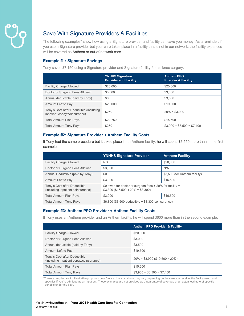## Save With Signature Providers & Facilities

The following examples\* show how using a Signature provider and facility can save you money. As a reminder, if you use a Signature provider but your care takes place in a facility that is not in our network, the facility expenses will be covered as Anthem or out-of-network care.

## **Example #1: Signature Savings**

Tony saves \$7,150 using a Signature provider and Signature facility for his knee surgery.

|                                                                         | <b>YNHHS Signature</b><br><b>Provider and Facility</b> | <b>Anthem PPO</b><br><b>Provider &amp; Facility</b> |
|-------------------------------------------------------------------------|--------------------------------------------------------|-----------------------------------------------------|
| <b>Facility Charge Allowed</b>                                          | \$20,000                                               | \$20,000                                            |
| Doctor or Surgeon Fees Allowed                                          | \$3,000                                                | \$3,000                                             |
| Annual deductible (paid by Tony)                                        | \$0                                                    | \$3,500                                             |
| Amount Left to Pay                                                      | \$23,000                                               | \$19,500                                            |
| Tony's Cost after Deductible (including<br>inpatient copay/coinsurance) | \$250                                                  | $20\% = $3,900$                                     |
| <b>Total Amount Plan Pays</b>                                           | \$22,750                                               | \$15,600                                            |
| <b>Total Amount Tony Pays</b>                                           | \$250                                                  | $$3,900 + $3,500 = $7,400$                          |

## **Example #2: Signature Provider + Anthem Facility Costs**

If Tony had the same procedure but it takes place in an Anthem facility, he will spend \$6,550 more than in the first example.

|                                                                   | <b>YNHHS Signature Provider</b>                                                                   | <b>Anthem Facility</b>        |
|-------------------------------------------------------------------|---------------------------------------------------------------------------------------------------|-------------------------------|
| <b>Facility Charge Allowed</b>                                    | N/A                                                                                               | \$20,000                      |
| Doctor or Surgeon Fees Allowed                                    | \$3,000                                                                                           | N/A                           |
| Annual Deductible (paid by Tony)                                  | \$0                                                                                               | \$3,500 (for Anthem facility) |
| Amount Left to Pay                                                | \$3,000                                                                                           | \$16,500                      |
| Tony's Cost after Deductible<br>(including inpatient coinsurance) | \$0 owed for doctor or surgeon fees $+20\%$ for facility =<br>$$3,300$ (\$16,500 x 20% = \$3,300) |                               |
| <b>Total Amount Plan Pays</b>                                     | \$3,000                                                                                           | \$16,500                      |
| <b>Total Amount Tony Pays</b>                                     | $$6,800$ (\$3,500 deductible $+ $3,300$ coinsurance)                                              |                               |

## **Example #3: Anthem PPO Provider + Anthem Facility Costs**

If Tony uses an Anthem provider and an Anthem facility, he will spend \$600 more than in the second example.

|                                                                         | <b>Anthem PPO Provider &amp; Facility</b> |
|-------------------------------------------------------------------------|-------------------------------------------|
| <b>Facility Charge Allowed</b>                                          | \$20,000                                  |
| Doctor or Surgeon Fees Allowed                                          | \$3,000                                   |
| Annual deductible (paid by Tony)                                        | \$3.500                                   |
| Amount Left to Pay                                                      | \$19,500                                  |
| Tony's Cost after Deductible<br>(including inpatient copay/coinsurance) | $20\% = $3,900$ (\$19,500 x 20%)          |
| <b>Total Amount Plan Pays</b>                                           | \$15,600                                  |
| <b>Total Amount Tony Pays</b>                                           | $$3,900 + $3,500 = $7,400$                |

\*These examples are for illustrative purposes only. Your actual cost share may vary depending on the care you receive, the facility used, and specifics if you're admitted as an inpatient. These examples are not provided as a guarantee of coverage or an actual estimate of specific benefits under the plan.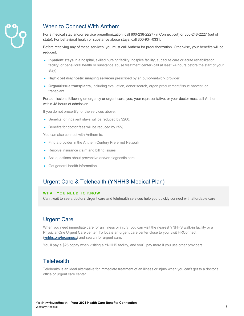

## When to Connect With Anthem

For a medical stay and/or service preauthorization, call 800-238-2227 (in Connecticut) or 800-248-2227 (out of state). For behavioral health or substance abuse stays, call 800-934-0331.

Before receiving any of these services, you must call Anthem for preauthorization. Otherwise, your benefits will be reduced.

- **Inpatient stays** in a hospital, skilled nursing facility, hospice facility, subacute care or acute rehabilitation facility, or behavioral health or substance abuse treatment center (call at least 24 hours before the start of your stay)
- **High-cost diagnostic imaging services** prescribed by an out-of-network provider
- **Organ/tissue transplants,** including evaluation, donor search, organ procurement/tissue harvest, or transplant

For admissions following emergency or urgent care, you, your representative, or your doctor must call Anthem within 48 hours of admission.

If you do not precertify for the services above:

- Benefits for inpatient stays will be reduced by \$200.
- Benefits for doctor fees will be reduced by 25%.

You can also connect with Anthem to:

- Find a provider in the Anthem Century Preferred Network
- Resolve insurance claim and billing issues
- Ask questions about preventive and/or diagnostic care
- Get general health information

## Urgent Care & Telehealth (YNHHS Medical Plan)

## **WHAT YOU NEED TO KNOW**

Can't wait to see a doctor? Urgent care and telehealth services help you quickly connect with affordable care.

## Urgent Care

When you need immediate care for an illness or injury, you can visit the nearest YNHHS walk-in facility or a PhysicianOne Urgent Care center. To locate an urgent care center close to you, visit HRConnect (ynhhs.org/hrconnect) and search for urgent care.

You'll pay a \$25 copay when visiting a YNHHS facility, and you'll pay more if you use other providers.

## **Telehealth**

Telehealth is an ideal alternative for immediate treatment of an illness or injury when you can't get to a doctor's office or urgent care center.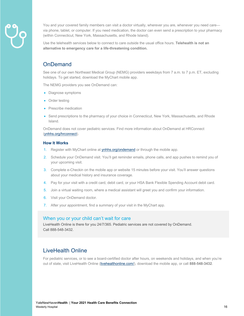

You and your covered family members can visit a doctor virtually, wherever you are, whenever you need care via phone, tablet, or computer. If you need medication, the doctor can even send a prescription to your pharmacy (within Connecticut, New York, Massachusetts, and Rhode Island).

Use the telehealth services below to connect to care outside the usual office hours. **Telehealth is not an alternative to emergency care for a life-threatening condition.** 

## **OnDemand**

See one of our own Northeast Medical Group (NEMG) providers weekdays from 7 a.m. to 7 p.m. ET, excluding holidays. To get started, download the MyChart mobile app.

The NEMG providers you see OnDemand can:

- Diagnose symptoms
- Order testing
- Prescribe medication
- Send prescriptions to the pharmacy of your choice in Connecticut, New York, Massachusetts, and Rhode Island.

OnDemand does not cover pediatric services. Find more information about OnDemand at HRConnect (ynhhs.org/hrconnect).

#### **How It Works**

- 1. Register with MyChart online at ynhhs.org/ondemand or through the mobile app.
- 2. Schedule your OnDemand visit. You'll get reminder emails, phone calls, and app pushes to remind you of your upcoming visit.
- 3. Complete e-Checkin on the mobile app or website 15 minutes before your visit. You'll answer questions about your medical history and insurance coverage.
- 4. Pay for your visit with a credit card, debit card, or your HSA Bank Flexible Spending Account debit card.
- 5. Join a virtual waiting room, where a medical assistant will greet you and confirm your information.
- 6. Visit your OnDemand doctor.
- 7. After your appointment, find a summary of your visit in the MyChart app.

## When you or your child can't wait for care

LiveHealth Online is there for you 24/7/365. Pediatric services are not covered by OnDemand. Call 888-548-3432.

## LiveHealth Online

For pediatric services, or to see a board-certified doctor after hours, on weekends and holidays, and when you're out of state, visit LiveHealth Online (livehealthonline.com/), download the mobile app, or call **888-548-3432**.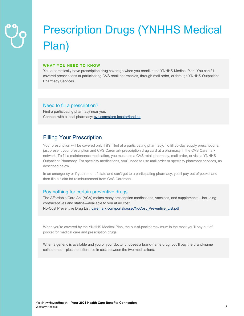## Prescription Drugs (YNHHS Medical Plan)

#### **WHAT YOU NEED TO KNOW**

You automatically have prescription drug coverage when you enroll in the YNHHS Medical Plan. You can fill covered prescriptions at participating CVS retail pharmacies, through mail order, or through YNHHS Outpatient Pharmacy Services.

## Need to fill a prescription?

Find a participating pharmacy near you. Connect with a local pharmacy: cvs.com/store-locator/landing

## Filling Your Prescription

Your prescription will be covered only if it's filled at a participating pharmacy. To fill 30-day supply prescriptions, just present your prescription and CVS Caremark prescription drug card at a pharmacy in the CVS Caremark network. To fill a maintenance medication, you must use a CVS retail pharmacy, mail order, or visit a YNHHS Outpatient Pharmacy. For specialty medications, you'll need to use mail order or specialty pharmacy services, as described below.

In an emergency or if you're out of state and can't get to a participating pharmacy, you'll pay out of pocket and then file a claim for reimbursement from CVS Caremark.

## Pay nothing for certain preventive drugs

The Affordable Care Act (ACA) makes many prescription medications, vaccines, and supplements—including contraceptives and statins—available to you at no cost. No-Cost Preventive Drug List: caremark.com/portal/asset/NoCost\_Preventive\_List.pdf

When you're covered by the YNHHS Medical Plan, the out-of-pocket maximum is the most you'll pay out of pocket for medical care and prescription drugs.

When a generic is available and you or your doctor chooses a brand-name drug, you'll pay the brand-name coinsurance—plus the difference in cost between the two medications.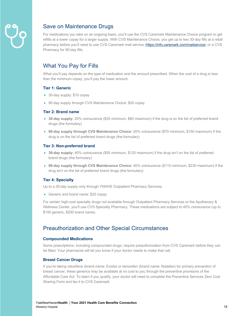

## Save on Maintenance Drugs

For medications you take on an ongoing basis, you'll use the CVS Caremark Maintenance Choice program to get refills at a lower copay for a larger supply. With CVS Maintenance Choice, you get up to two 30-day fills at a retail pharmacy before you'll need to use CVS Caremark mail service (https://info.caremark.com/mailservice) or a CVS Pharmacy for 90-day fills.

## What You Pay for Fills

What you'll pay depends on the type of medication and the amount prescribed. When the cost of a drug is less than the minimum copay, you'll pay the lower amount.

### **Tier 1: Generic**

- 30-day supply: \$10 copay
- 90-day supply through CVS Maintenance Choice: \$20 copay

#### **Tier 2: Brand name**

- **30-day supply:** 20% coinsurance (\$35 minimum, \$80 maximum) if the drug is on the list of preferred brand drugs (the formulary)
- **90-day supply through CVS Maintenance Choice:** 20% coinsurance (\$70 minimum, \$150 maximum) if the drug is on the list of preferred brand drugs (the formulary)

### **Tier 3: Non-preferred brand**

- **30-day supply:** 40% coinsurance (\$55 minimum, \$120 maximum) if the drug isn't on the list of preferred brand drugs (the formulary)
- **90-day supply through CVS Maintenance Choice:** 40% coinsurance (\$110 minimum, \$230 maximum) if the drug isn't on the list of preferred brand drugs (the formulary)

## **Tier 4: Specialty**

Up to a 30-day supply only through YNHHS Outpatient Pharmacy Services.

• Generic and brand name: \$20 copay

For certain high-cost specialty drugs not available through Outpatient Pharmacy Services or the Apothecary & Wellness Center, you'll use CVS Specialty Pharmacy. These medications are subject to 40% coinsurance (up to \$150 generic, \$200 brand name).

## Preauthorization and Other Special Circumstances

#### **Compounded Medications**

Some prescriptions, including compounded drugs, require preauthorization from CVS Caremark before they can be filled. Your pharmacist will let you know if your doctor needs to make that call.

## **Breast Cancer Drugs**

If you're taking raloxifene (brand name: Evista) or tamoxifen (brand name: Noladex) for primary prevention of breast cancer, these generics may be available at no cost to you through the preventive provisions of the Affordable Care Act. To learn if you qualify, your doctor will need to complete the Preventive Services Zero Cost Sharing Form and fax it to CVS Caremark.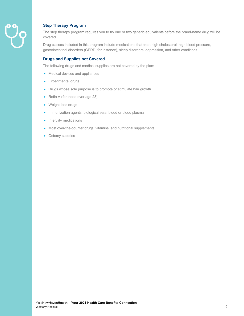

## **Step Therapy Program**

The step therapy program requires you to try one or two generic equivalents before the brand-name drug will be covered.

Drug classes included in this program include medications that treat high cholesterol, high blood pressure, gastrointestinal disorders (GERD, for instance), sleep disorders, depression, and other conditions.

### **Drugs and Supplies not Covered**

The following drugs and medical supplies are not covered by the plan:

- Medical devices and appliances
- Experimental drugs
- Drugs whose sole purpose is to promote or stimulate hair growth
- Retin A (for those over age 28)
- Weight-loss drugs
- Immunization agents, biological sera, blood or blood plasma
- Infertility medications
- Most over-the-counter drugs, vitamins, and nutritional supplements
- Ostomy supplies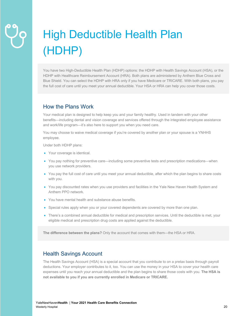## High Deductible Health Plan (HDHP)

You have two High-Deductible Health Plan (HDHP) options: the HDHP with Health Savings Account (HSA), or the HDHP with Healthcare Reimbursement Account (HRA). Both plans are administered by Anthem Blue Cross and Blue Shield. You can select the HDHP with HRA only if you have Medicare or TRICARE. With both plans, you pay the full cost of care until you meet your annual deductible. Your HSA or HRA can help you cover those costs.

## How the Plans Work

Your medical plan is designed to help keep you and your family healthy. Used in tandem with your other benefits—including dental and vision coverage and services offered through the integrated employee assistance and work/life program—it's also here to support you when you need care.

You may choose to waive medical coverage if you're covered by another plan or your spouse is a YNHHS employee.

Under both HDHP plans:

- Your coverage is identical.
- You pay nothing for preventive care—including some preventive tests and prescription medications—when you use network providers.
- You pay the full cost of care until you meet your annual deductible, after which the plan begins to share costs with you.
- You pay discounted rates when you use providers and facilities in the Yale New Haven Health System and Anthem PPO network.
- You have mental health and substance abuse benefits.
- Special rules apply when you or your covered dependents are covered by more than one plan.
- There's a combined annual deductible for medical and prescription services. Until the deductible is met, your eligible medical and prescription drug costs are applied against the deductible.

**The difference between the plans?** Only the account that comes with them—the HSA or HRA.

## Health Savings Account

The Health Savings Account (HSA) is a special account that you contribute to on a pretax basis through payroll deductions. Your employer contributes to it, too. You can use the money in your HSA to cover your health care expenses until you reach your annual deductible and the plan begins to share those costs with you. **The HSA is not available to you if you are currently enrolled in Medicare or TRICARE.**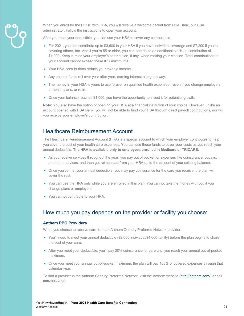

When you enroll for the HDHP with HSA, you will receive a welcome packet from HSA Bank, our HSA administrator. Follow the instructions to open your account.

After you meet your deductible, you can use your HSA to cover any coinsurance.

- For 2021, you can contribute up to \$3,600 in your HSA if you have individual coverage and \$7,200 if you're covering others, too. And if you're 55 or older, you can contribute an additional catch-up contribution of \$1,000. Keep in mind your employer's contribution, if any, when making your election. Total contributions to your account cannot exceed these IRS maximums.
- Your HSA contributions reduce your taxable income.
- Any unused funds roll over year after year, earning interest along the way.
- The money in your HSA is yours to use forever on qualified health expenses—even if you change employers or health plans, or retire.
- Once your balance reaches \$1,000, you have the opportunity to invest it for potential growth.

**Note:** You also have the option of opening your HSA at a financial institution of your choice. However, unlike an account opened with HSA Bank, you will not be able to fund your HSA through direct payroll contributions, nor will you receive your employer's contribution.

## Healthcare Reimbursement Account

The Healthcare Reimbursement Account (HRA) is a special account to which your employer contributes to help you cover the cost of your health care expenses. You can use these funds to cover your costs as you reach your annual deductible. **The HRA is available only to employees enrolled in Medicare or TRICARE.**

- As you receive services throughout the year, you pay out of pocket for expenses like coinsurance, copays, and other services, and then get reimbursed from your HRA up to the amount of your existing balance.
- Once you've met your annual deductible, you may pay coinsurance for the care you receive; the plan will cover the rest.
- You can use the HRA only while you are enrolled in this plan. You cannot take the money with you if you change plans or employers.
- You cannot contribute to your HRA.

## How much you pay depends on the provider or facility you choose:

## **Anthem PPO Providers**

When you choose to receive care from an Anthem Century Preferred Network provider:

- You'll need to meet your annual deductible (\$2,000 individual/\$4,000 family) before the plan begins to share the cost of your care.
- After you meet your deductible, you'll pay 20% coinsurance for care until you reach your annual out-of-pocket maximum.
- Once you meet your annual out-of-pocket maximum, the plan will pay 100% of covered expenses through that calendar year.

To find a provider in the Anthem Century Preferred Network, visit the Anthem website (http://anthem.com/) or call **888-266-2896**.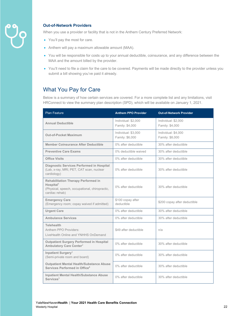

## **Out-of-Network Providers**

When you use a provider or facility that is not in the Anthem Century Preferred Network:

- You'll pay the most for care.
- Anthem will pay a maximum allowable amount (MAA).
- You will be responsible for costs up to your annual deductible, coinsurance, and any difference between the MAA and the amount billed by the provider.
- You'll need to file a claim for the care to be covered. Payments will be made directly to the provider unless you submit a bill showing you've paid it already.

## What You Pay for Care

Below is a summary of how certain services are covered. For a more complete list and any limitations, visit HRConnect to view the summary plan description (SPD), which will be available on January 1, 2021.

| <b>Plan Feature</b>                                                                                                                        | <b>Anthem PPO Provider</b>             | <b>Out-of-Network Provider</b>         |
|--------------------------------------------------------------------------------------------------------------------------------------------|----------------------------------------|----------------------------------------|
| <b>Annual Deductible</b>                                                                                                                   | Individual: \$2,000<br>Family: \$4,000 | Individual: \$2,000<br>Family: \$4,000 |
| <b>Out-of-Pocket Maximum</b>                                                                                                               | Individual: \$3,000<br>Family: \$6,000 | Individual: \$4,000<br>Family: \$8,000 |
| Member Coinsurance After Deductible                                                                                                        | 0% after deductible                    | 30% after deductible                   |
| <b>Preventive Care Exams</b>                                                                                                               | 0% deductible waived                   | 30% after deductible                   |
| <b>Office Visits</b>                                                                                                                       | 0% after deductible                    | 30% after deductible                   |
| Diagnostic Services Performed in Hospital<br>(Lab, x-ray, MRI, PET, CAT scan, nuclear<br>cardiology)                                       | 0% after deductible                    | 30% after deductible                   |
| <b>Rehabilitation Therapy Performed in</b><br>$H$ ospital <sup>1</sup><br>(Physical, speech, occupational, chiropractic,<br>cardiac rehab) | 0% after deductible                    | 30% after deductible                   |
| <b>Emergency Care</b><br>(Emergency room; copay waived if admitted)                                                                        | \$100 copay after<br>deductible        | \$200 copay after deductible           |
| <b>Urgent Care</b>                                                                                                                         | 0% after deductible                    | 30% after deductible                   |
| <b>Ambulance Services</b>                                                                                                                  | 0% after deductible                    | 30% after deductible                   |
| <b>Telehealth</b><br>Anthem PPO Providers:<br>LiveHealth Online and YNHHS OnDemand                                                         | \$49 after deductible                  | n/a                                    |
| <b>Outpatient Surgery Performed in Hospital</b><br>Ambulatory Care Center <sup>2</sup>                                                     | 0% after deductible                    | 30% after deductible                   |
| Inpatient Surgery <sup>3</sup><br>(Semi-private room and board)                                                                            | 0% after deductible                    | 30% after deductible                   |
| <b>Outpatient Mental Health/Substance Abuse</b><br>Services Performed in Office <sup>4</sup>                                               | 0% after deductible                    | 30% after deductible                   |
| <b>Inpatient Mental Health/Substance Abuse</b><br>$S$ ervices $5$                                                                          | 0% after deductible                    | 30% after deductible                   |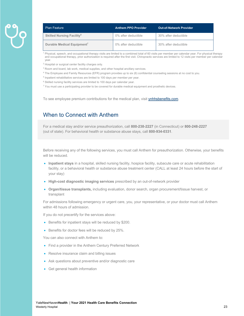| <b>Plan Feature</b>                         | <b>Anthem PPO Provider</b> | <b>Out-of-Network Provider</b> |
|---------------------------------------------|----------------------------|--------------------------------|
| <b>Skilled Nursing Facility<sup>6</sup></b> | 0% after deductible        | 30% after deductible           |
| Durable Medical Equipment <sup>7</sup>      | 0% after deductible        | 30% after deductible           |

<sup>1</sup> Physical, speech, and occupational therapy visits are limited to a combined total of 60 visits per member per calendar year. For physical therapy and occupational therapy, prior authorization is required after the first visit. Chiropractic services are limited to 12 visits per member per calendar year.

<sup>2</sup> Hospital or surgical center facility charges only.

- <sup>3</sup> Room and board, lab work, medical supplies, and other hospital ancillary services.
- <sup>4</sup> The Employee and Family Resources (EFR) program provides up to six (6) confidential counseling sessions at no cost to you.
- <sup>5</sup> Inpatient rehabilitative services are limited to 100 days per member per year.
- <sup>6</sup> Skilled nursing facility services are limited to 100 days per calendar year.
- <sup>7</sup> You must use a participating provider to be covered for durable medical equipment and prosthetic devices.

To see employee premium contributions for the medical plan, visit ynhhsbenefits.com.

## When to Connect with Anthem

For a medical stay and/or service preauthorization, call **800-238-2227** (in Connecticut) or **800-248-2227** (out of state). For behavioral health or substance abuse stays, call **800-934-0331**.

Before receiving any of the following services, you must call Anthem for preauthorization. Otherwise, your benefits will be reduced.

- **Inpatient stays** in a hospital, skilled nursing facility, hospice facility, subacute care or acute rehabilitation facility, or a behavioral health or substance abuse treatment center (CALL at least 24 hours before the start of your stay)
- **High-cost diagnostic imaging services** prescribed by an out-of-network provider
- **Organ/tissue transplants,** including evaluation, donor search, organ procurement/tissue harvest, or transplant

For admissions following emergency or urgent care, you, your representative, or your doctor must call Anthem within 48 hours of admission.

If you do not precertify for the services above:

- Benefits for inpatient stays will be reduced by \$200.
- Benefits for doctor fees will be reduced by 25%.

You can also connect with Anthem to:

- Find a provider in the Anthem Century Preferred Network
- Resolve insurance claim and billing issues
- Ask questions about preventive and/or diagnostic care
- Get general health information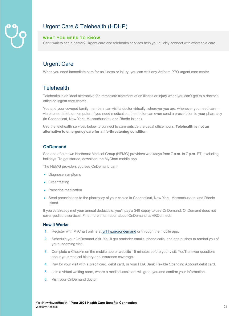## Urgent Care & Telehealth (HDHP)

### **WHAT YOU NEED TO KNOW**

Can't wait to see a doctor? Urgent care and telehealth services help you quickly connect with affordable care.

## Urgent Care

When you need immediate care for an illness or injury, you can visit any Anthem PPO urgent care center.

## **Telehealth**

Telehealth is an ideal alternative for immediate treatment of an illness or injury when you can't get to a doctor's office or urgent care center.

You and your covered family members can visit a doctor virtually, wherever you are, whenever you need care via phone, tablet, or computer. If you need medication, the doctor can even send a prescription to your pharmacy (in Connecticut, New York, Massachusetts, and Rhode Island).

Use the telehealth services below to connect to care outside the usual office hours. **Telehealth is not an alternative to emergency care for a life-threatening condition.** 

## **OnDemand**

See one of our own Northeast Medical Group (NEMG) providers weekdays from 7 a.m. to 7 p.m. ET, excluding holidays. To get started, download the MyChart mobile app.

The NEMG providers you see OnDemand can:

- Diagnose symptoms
- Order testing
- Prescribe medication
- Send prescriptions to the pharmacy of your choice in Connecticut, New York, Massachusetts, and Rhode Island.

If you've already met your annual deductible, you'll pay a \$49 copay to use OnDemand. OnDemand does not cover pediatric services. Find more information about OnDemand at HRConnect.

#### **How It Works**

- 1. Register with MyChart online at ynhhs.org/ondemand or through the mobile app.
- 2. Schedule your OnDemand visit. You'll get reminder emails, phone calls, and app pushes to remind you of your upcoming visit.
- 3. Complete e-Checkin on the mobile app or website 15 minutes before your visit. You'll answer questions about your medical history and insurance coverage.
- 4. Pay for your visit with a credit card, debit card, or your HSA Bank Flexible Spending Account debit card.
- 5. Join a virtual waiting room, where a medical assistant will greet you and confirm your information.
- 6. Visit your OnDemand doctor.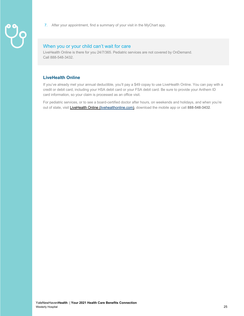- 
- 7. After your appointment, find a summary of your visit in the MyChart app.

## When you or your child can't wait for care

LiveHealth Online is there for you 24/7/365. Pediatric services are not covered by OnDemand. Call 888-548-3432.

## **LiveHealth Online**

If you've already met your annual deductible, you'll pay a \$49 copay to use LiveHealth Online. You can pay with a credit or debit card, including your HSA debit card or your FSA debit card. Be sure to provide your Anthem ID card information, so your claim is processed as an office visit.

For pediatric services, or to see a board-certified doctor after hours, on weekends and holidays, and when you're out of state, visit LiveHealth Online (livehealthonline.com), download the mobile app or call **888-548-3432**.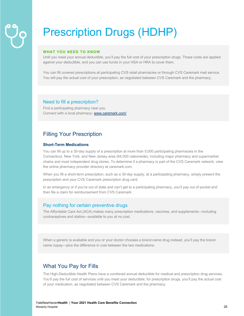## Prescription Drugs (HDHP)

#### **WHAT YOU NEED TO KNOW**

Until you meet your annual deductible, you'll pay the full cost of your prescription drugs. Those costs are applied against your deductible, and you can use funds in your HSA or HRA to cover them.

You can fill covered prescriptions at participating CVS retail pharmacies or through CVS Caremark mail service. You will pay the actual cost of your prescription, as negotiated between CVS Caremark and the pharmacy.

### Need to fill a prescription?

Find a participating pharmacy near you. Connect with a local pharmacy: www.caremark.com/

## Filling Your Prescription

## **Short-Term Medications**

You can fill up to a 30-day supply of a prescription at more than 5,000 participating pharmacies in the Connecticut, New York, and New Jersey area (64,000 nationwide), including major pharmacy and supermarket chains and most independent drug stores. To determine if a pharmacy is part of the CVS Caremark network, view the online pharmacy provider directory at caremark.com.

When you fill a short-term prescription, such as a 30-day supply, at a participating pharmacy, simply present the prescription and your CVS Caremark prescription drug card.

In an emergency or if you're out of state and can't get to a participating pharmacy, you'll pay out of pocket and then file a claim for reimbursement from CVS Caremark.

## Pay nothing for certain preventive drugs

The Affordable Care Act (ACA) makes many prescription medications, vaccines, and supplements—including contraceptives and statins—available to you at no cost.

When a generic is available and you or your doctor chooses a brand-name drug instead, you'll pay the brandname copay—plus the difference in cost between the two medications.

## What You Pay for Fills

The High-Deductible Health Plans have a combined annual deductible for medical and prescription drug services. You'll pay the full cost of services until you meet your deductible; for prescription drugs, you'll pay the actual cost of your medication, as negotiated between CVS Caremark and the pharmacy.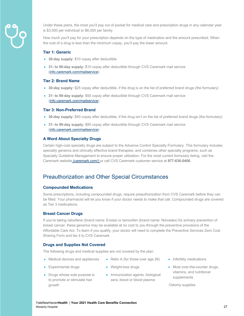

Under these plans, the most you'll pay out of pocket for medical care and prescription drugs in any calendar year is \$3,000 per individual or \$6,000 per family.

How much you'll pay for your prescription depends on the type of medication and the amount prescribed. When the cost of a drug is less than the minimum copay, you'll pay the lower amount.

#### **Tier 1: Generic**

- **30-day supply:** \$10 copay after deductible
- **31- to 90-day supply:** \$10 copay after deductible through CVS Caremark mail service (info.caremark.com/mailservice)

#### **Tier 2: Brand Name**

- **30-day supply:** \$25 copay after deductible, if the drug is on the list of preferred brand drugs (the formulary)
- **31- to 90-day supply:** \$50 copay after deductible through CVS Caremark mail service (info.caremark.com/mailservice)

#### **Tier 3: Non-Preferred Brand**

- **30-day supply:** \$40 copay after deductible, if the drug isn't on the list of preferred brand drugs (the formulary)
- **31- to 90-day supply:** \$80 copay after deductible through CVS Caremark mail service (info.caremark.com/mailservice)

#### **A Word About Specialty Drugs**

Certain high-cost specialty drugs are subject to the Advance Control Specialty Formulary. This formulary includes specialty generics and clinically effective brand therapies, and combines other specialty programs, such as Specialty Guideline Management to ensure proper utilization. For the most current formulary listing, visit the Caremark website (caremark.com/) or call CVS Caremark customer service at **877-636-0406**.

## Preauthorization and Other Special Circumstances

#### **Compounded Medications**

Some prescriptions, including compounded drugs, require preauthorization from CVS Caremark before they can be filled. Your pharmacist will let you know if your doctor needs to make that call. Compounded drugs are covered as Tier 3 medications.

#### **Breast Cancer Drugs**

If you're taking raloxifene (brand name: Evista) or tamoxifen (brand name: Nolvadex) for primary prevention of breast cancer, these generics may be available at no cost to you through the preventive provisions of the Affordable Care Act. To learn if you qualify, your doctor will need to complete the Preventive Services Zero Cost Sharing Form and fax it to CVS Caremark.

#### **Drugs and Supplies Not Covered**

The following drugs and medical supplies are not covered by the plan:

- Medical devices and appliances
- Weight-loss drugs
- Drugs whose sole purpose is to promote or stimulate hair growth

• Experimental drugs

• Immunization agents, biological sera, blood or blood plasma

• Retin A (for those over age 28)

- Infertility medications
- Most over-the-counter drugs, vitamins, and nutritional supplements

Ostomy supplies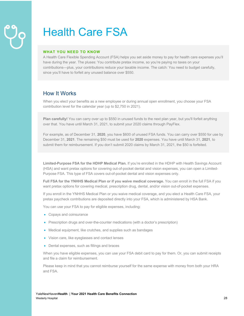## Health Care FSA

#### **WHAT YOU NEED TO KNOW**

A Health Care Flexible Spending Account (FSA) helps you set aside money to pay for health care expenses you'll have during the year. The pluses: You contribute pretax income, so you're paying no taxes on your contributions—plus, your contributions reduce your taxable income. The catch: You need to budget carefully, since you'll have to forfeit any unused balance over \$550.

## How It Works

When you elect your benefits as a new employee or during annual open enrollment, you choose your FSA contribution level for the calendar year (up to \$2,750 in 2021).

**Plan carefully!** You can carry over up to \$550 in unused funds to the next plan year, but you'll forfeit anything over that. You have until March 31, 2021, to submit your 2020 claims through PayFlex.

For example, as of December 31, **2020**, you have \$600 of unused FSA funds. You can carry over \$550 for use by December 31, **2021**. The remaining \$50 must be used for **2020** expenses. You have until March 31, **2021**, to submit them for reimbursement. If you don't submit 2020 claims by March 31, 2021, the \$50 is forfeited.

**Limited-Purpose FSA for the HDHP Medical Plan.** If you're enrolled in the HDHP with Health Savings Account (HSA) and want pretax options for covering out-of-pocket dental and vision expenses, you can open a Limited-Purpose FSA. This type of FSA covers out-of-pocket dental and vision expenses only.

**Full FSA for the YNHHS Medical Plan or if you waive medical coverage.** You can enroll in the full FSA if you want pretax options for covering medical, prescription drug, dental, and/or vision out-of-pocket expenses.

If you enroll in the YNHHS Medical Plan or you waive medical coverage, and you elect a Health Care FSA, your pretax paycheck contributions are deposited directly into your FSA, which is administered by HSA Bank.

You can use your FSA to pay for eligible expenses, including:

- Copays and coinsurance
- Prescription drugs and over-the-counter medications (with a doctor's prescription)
- Medical equipment, like crutches, and supplies such as bandages
- Vision care, like eyeglasses and contact lenses
- Dental expenses, such as fillings and braces

When you have eligible expenses, you can use your FSA debit card to pay for them. Or, you can submit receipts and file a claim for reimbursement.

Please keep in mind that you cannot reimburse yourself for the same expense with money from both your HRA and FSA.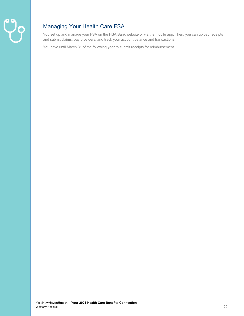

## Managing Your Health Care FSA

You set up and manage your FSA on the HSA Bank website or via the mobile app. Then, you can upload receipts and submit claims, pay providers, and track your account balance and transactions.

You have until March 31 of the following year to submit receipts for reimbursement.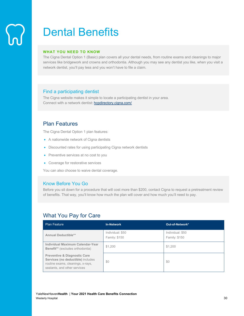## Dental Benefits

### **WHAT YOU NEED TO KNOW**

The Cigna Dental Option 1 (Basic) plan covers all your dental needs, from routine exams and cleanings to major services like bridgework and crowns and orthodontia. Although you may see any dentist you like, when you visit a network dentist, you'll pay less and you won't have to file a claim.

## Find a participating dentist

The Cigna website makes it simple to locate a participating dentist in your area. Connect with a network dentist: hcpdirectory.cigna.com/

## Plan Features

The Cigna Dental Option 1 plan features:

- A nationwide network of Cigna dentists
- Discounted rates for using participating Cigna network dentists
- Preventive services at no cost to you
- Coverage for restorative services

You can also choose to waive dental coverage.

## Know Before You Go

Before you sit down for a procedure that will cost more than \$200, contact Cigna to request a pretreatment review of benefits. That way, you'll know how much the plan will cover and how much you'll need to pay.

## What You Pay for Care

| <b>Plan Feature</b>                                                                                                                               | <b>In-Network</b>                        | Out-of-Network*                   |
|---------------------------------------------------------------------------------------------------------------------------------------------------|------------------------------------------|-----------------------------------|
| Annual Deductible**                                                                                                                               | Individual: \$50<br><b>Family: \$150</b> | Individual: \$50<br>Family: \$150 |
| Individual Maximum Calendar-Year<br>Benefit** (excludes orthodontia)                                                                              | \$1,200                                  | \$1,200                           |
| <b>Preventive &amp; Diagnostic Care</b><br>Services (no deductible) includes<br>routine exams, cleanings, x-rays,<br>sealants, and other services | \$0                                      | \$0                               |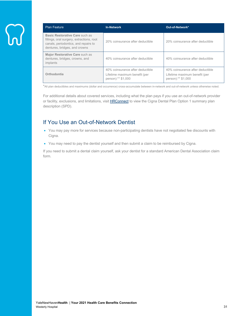| <b>Plan Feature</b>                                                                                                                                  | <b>In-Network</b>                                                                       | Out-of-Network*                                                                         |
|------------------------------------------------------------------------------------------------------------------------------------------------------|-----------------------------------------------------------------------------------------|-----------------------------------------------------------------------------------------|
| Basic Restorative Care such as<br>fillings, oral surgery, extractions, root<br>canals, periodontics, and repairs to<br>dentures, bridges, and crowns | 20% coinsurance after deductible                                                        | 20% coinsurance after deductible                                                        |
| Major Restorative Care such as<br>dentures, bridges, crowns, and<br>implants                                                                         | 40% coinsurance after deductible                                                        | 40% coinsurance after deductible                                                        |
| Orthodontia                                                                                                                                          | 40% coinsurance after deductible<br>Lifetime maximum benefit (per<br>person):** \$1,000 | 40% coinsurance after deductible<br>Lifetime maximum benefit (per<br>person):** \$1,000 |

\*All plan deductibles and maximums (dollar and occurrence) cross-accumulate between in-network and out-of-network unless otherwise noted.

For additional details about covered services, including what the plan pays if you use an out-of-network provider or facility, exclusions, and limitations, visit **HRConnect** to view the Cigna Dental Plan Option 1 summary plan description (SPD).

## If You Use an Out-of-Network Dentist

- You may pay more for services because non-participating dentists have not negotiated fee discounts with Cigna.
- You may need to pay the dentist yourself and then submit a claim to be reimbursed by Cigna.

If you need to submit a dental claim yourself, ask your dentist for a standard American Dental Association claim form.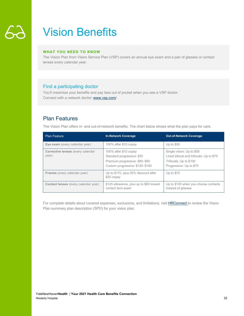## Vision Benefits

### **WHAT YOU NEED TO KNOW**

The Vision Plan from Vision Service Plan (VSP) covers an annual eye exam and a pair of glasses or contact lenses every calendar year.

## Find a participating doctor

You'll maximize your benefits and pay less out of pocket when you see a VSP doctor. Connect with a network doctor: www.vsp.com/

## Plan Features

The Vision Plan offers in- and out-of-network benefits. The chart below shows what the plan pays for care.

| <b>Plan Feature</b>                         | <b>In-Network Coverage</b>                                                                                               | <b>Out-of-Network Coverage</b>                                                                                            |
|---------------------------------------------|--------------------------------------------------------------------------------------------------------------------------|---------------------------------------------------------------------------------------------------------------------------|
| Eye exam (every calendar year)              | 100% after \$10 copay                                                                                                    | Up to $$50$                                                                                                               |
| Corrective lenses (every calendar<br>year)  | 100% after \$10 copay<br>Standard progressive: \$50<br>Premium progressive: \$80-\$90<br>Custom progressive: \$120-\$160 | Single vision: Up to \$50<br>Lined bifocal and trifocals: Up to \$75<br>Trifocals: Up to \$100<br>Progressive: Up to \$75 |
| <b>Frames</b> (every calendar year)         | Up to \$170, plus 20% discount after<br>\$25 copay                                                                       | Up to $$70$                                                                                                               |
| <b>Contact lenses</b> (every calendar year) | \$125 allowance, plus up to \$60 toward<br>contact lens exam                                                             | Up to \$105 when you choose contacts<br>instead of glasses                                                                |

For complete details about covered expenses, exclusions, and limitations, visit **HRConnect** to review the Vision Plan summary plan description (SPD) for your vision plan.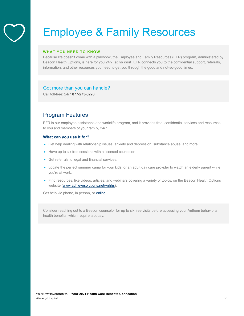## Employee & Family Resources

#### **WHAT YOU NEED TO KNOW**

Because life doesn't come with a playbook, the Employee and Family Resources (EFR) program, administered by Beacon Health Options, is here for you 24/7, at **no cost**. EFR connects you to the confidential support, referrals, information, and other resources you need to get you through the good and not-so-good times.

## Got more than you can handle?

Call toll-free: 24/7 **877-275-6226**

## Program Features

EFR is our employee assistance and work/life program, and it provides free, confidential services and resources to you and members of your family, 24/7.

#### **What can you use it for?**

- Get help dealing with relationship issues, anxiety and depression, substance abuse, and more.
- Have up to six free sessions with a licensed counselor.
- Get referrals to legal and financial services.
- Locate the perfect summer camp for your kids, or an adult day care provider to watch an elderly parent while you're at work.
- Find resources, like videos, articles, and webinars covering a variety of topics, on the Beacon Health Options website (www.achievesolutions.net/ynhhs).

Get help via phone, in person, or **online**.

Consider reaching out to a Beacon counselor for up to six free visits before accessing your Anthem behavioral health benefits, which require a copay.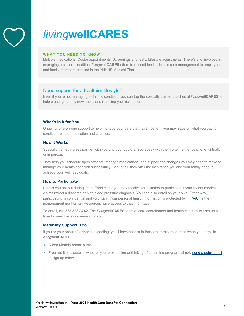

## *living***wellCARES**

### **WHAT YOU NEED TO KNOW**

Multiple medications. Doctor appointments. Screenings and tests. Lifestyle adjustments. There's a lot involved in managing a chronic condition. *living***wellCARES** offers free, confidential chronic care management to employees and family members enrolled in the YNHHS Medical Plan.

## Need support for a healthier lifestyle?

Even if you're not managing a chronic condition, you can tap the specially trained coaches at *living***wellCARES** for help creating healthy new habits and reducing your risk factors.

## **What's in It for You**

Ongoing, one-on-one support to help manage your care plan. Even better—you may save on what you pay for condition-related medication and supplies.

## **How It Works**

Specially trained nurses partner with you and your doctors. You speak with them often, either by phone, virtually, or in person.

They help you schedule appointments, manage medications, and support the changes you may need to make to manage your health condition successfully. Best of all, they offer the inspiration you and your family need to achieve your wellness goals.

## **How to Participate**

Unless you opt out during Open Enrollment, you may receive an invitation to participate if your recent medical claims reflect a diabetes or high blood pressure diagnosis. You can also enroll on your own. Either way, participating is confidential and voluntary. Your personal health information is protected by HIPAA; neither management nor Human Resources have access to that information.

To enroll, call **888-533-3742**. The *living***wellCARES** team of care coordinators and health coaches will set up a time to meet that's convenient for you.

## **Maternity Support, Too**

If you or your spouse/partner is expecting, you'll have access to these maternity resources when you enroll in *living***wellCARES**:

- A free Medela breast pump
- Free nutrition classes—whether you're expecting or thinking of becoming pregnant, simply send a quick email to sign up today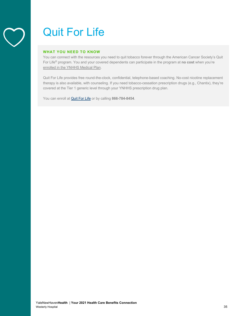## Quit For Life

### **WHAT YOU NEED TO KNOW**

You can connect with the resources you need to quit tobacco forever through the American Cancer Society's Quit For Life® program. You and your covered dependents can participate in the program at **no cost** when you're enrolled in the YNHHS Medical Plan.

Quit For Life provides free round-the-clock, confidential, telephone-based coaching. No-cost nicotine replacement therapy is also available, with counseling. If you need tobacco-cessation prescription drugs (e.g., Chantix), they're covered at the Tier 1 generic level through your YNHHS prescription drug plan.

You can enroll at Quit For Life or by calling **866-784-8454**.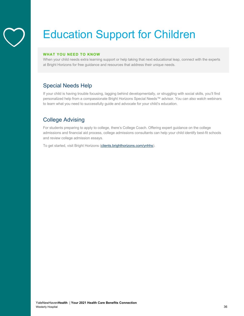

## Education Support for Children

## **WHAT YOU NEED TO KNOW**

When your child needs extra learning support or help taking that next educational leap, connect with the experts at Bright Horizons for free guidance and resources that address their unique needs.

## Special Needs Help

If your child is having trouble focusing, lagging behind developmentally, or struggling with social skills, you'll find personalized help from a compassionate Bright Horizons Special Needs™ advisor. You can also watch webinars to learn what you need to successfully guide and advocate for your child's education.

## College Advising

For students preparing to apply to college, there's College Coach. Offering expert guidance on the college admissions and financial aid process, college admissions consultants can help your child identify best-fit schools and review college admission essays.

To get started, visit Bright Horizons (clients.brighthorizons.com/ynhhs).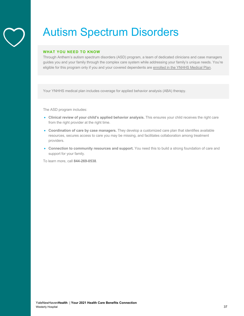

## Autism Spectrum Disorders

#### **WHAT YOU NEED TO KNOW**

Through Anthem's autism spectrum disorders (ASD) program, a team of dedicated clinicians and case managers guides you and your family through the complex care system while addressing your family's unique needs. You're eligible for this program only if you and your covered dependents are enrolled in the YNHHS Medical Plan.

Your YNHHS medical plan includes coverage for applied behavior analysis (ABA) therapy.

The ASD program includes:

- **Clinical review of your child's applied behavior analysis.** This ensures your child receives the right care from the right provider at the right time.
- **Coordination of care by case managers.** They develop a customized care plan that identifies available resources, secures access to care you may be missing, and facilitates collaboration among treatment providers.
- **Connection to community resources and support.** You need this to build a strong foundation of care and support for your family.

To learn more, call **844-269-0538**.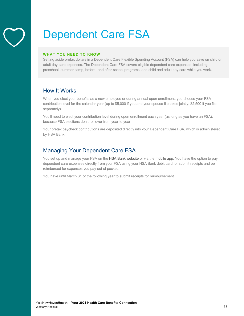

## Dependent Care FSA

### **WHAT YOU NEED TO KNOW**

Setting aside pretax dollars in a Dependent Care Flexible Spending Account (FSA) can help you save on child or adult day care expenses. The Dependent Care FSA covers eligible dependent care expenses, including preschool, summer camp, before- and after-school programs, and child and adult day care while you work.

## How It Works

When you elect your benefits as a new employee or during annual open enrollment, you choose your FSA contribution level for the calendar year (up to \$5,000 if you and your spouse file taxes jointly; \$2,500 if you file separately).

You'll need to elect your contribution level during open enrollment each year (as long as you have an FSA), because FSA elections don't roll over from year to year.

Your pretax paycheck contributions are deposited directly into your Dependent Care FSA, which is administered by HSA Bank.

## Managing Your Dependent Care FSA

You set up and manage your FSA on the HSA Bank website or via the mobile app. You have the option to pay dependent care expenses directly from your FSA using your HSA Bank debit card, or submit receipts and be reimbursed for expenses you pay out of pocket.

You have until March 31 of the following year to submit receipts for reimbursement.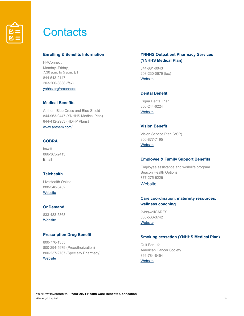

## **Contacts**

#### **Enrolling & Benefits Information**

**HRConnect** Monday–Friday, 7:30 a.m. to 5 p.m. ET 844-543-2147 203-200-3838 (fax) ynhhs.org/hrconnect

### **Medical Benefits**

Anthem Blue Cross and Blue Shield 844-963-0447 (YNHHS Medical Plan) 844-412-2983 (HDHP Plans) www.anthem.com/

## **COBRA**

bswift 866-365-2413 Email

## **Telehealth**

LiveHealth Online 888-548-3432 **Website** 

## **OnDemand**

833-483-5363 **Website** 

#### **Prescription Drug Benefit**

800-776-1355 800-294-5979 (Preauthorization) 800-237-2767 (Specialty Pharmacy) **Website** 

## **YNHHS Outpatient Pharmacy Services (YNHHS Medical Plan)**

844-881-0043 203-230-0679 (fax) **Website** 

## **Dental Benefit**

Cigna Dental Plan 800-244-6224 **Website** 

#### **Vision Benefit**

Vision Service Plan (VSP) 800-877-7195 **Website** 

### **Employee & Family Support Benefits**

Employee assistance and work/life program Beacon Health Options 877-275-6226

## **Website**

## **Care coordination, maternity resources, wellness coaching**

*living*wellCARES 888-533-3742 **Website** 

#### **Smoking cessation (YNHHS Medical Plan)**

Quit For Life American Cancer Society 866-784-8454 **Website**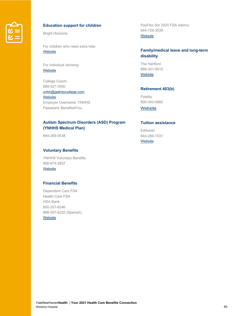

## **Education support for children**

Bright Horizons

For children who need extra help **Website** 

For individual advising **Website** 

College Coach 888-527-3550

ynhh@getintocollege.com **Website** Employer Username: YNHHS Password: Benefits4You

## **Autism Spectrum Disorders (ASD) Program (YNHHS Medical Plan)**

844-269-0538

## **Voluntary Benefits**

YNHHS Voluntary Benefits 866-874-2837 **Website** 

## **Financial Benefits**

Dependent Care FSA Health Care FSA HSA Bank 800-357-6246 866-357-6232 (Spanish) **Website** 

PayFlex (for 2020 FSA claims) 844-729-3539 **Website** 

## **Family/medical leave and long-term disability**

The Hartford 888-301-5615 **Website** 

## **Retirement 403(b)**

Fidelity 800-343-0860

**Website** 

## **Tuition assistance**

EdAssist 844-266-1531 **Website**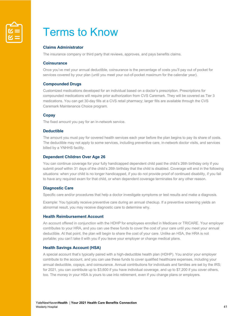

## Terms to Know

### **Claims Administrator**

The insurance company or third party that reviews, approves, and pays benefits claims.

#### **Coinsurance**

Once you've met your annual deductible, coinsurance is the percentage of costs you'll pay out of pocket for services covered by your plan (until you meet your out-of-pocket maximum for the calendar year).

#### **Compounded Drugs**

Customized medications developed for an individual based on a doctor's prescription. Prescriptions for compounded medications will require prior authorization from CVS Caremark. They will be covered as Tier 3 medications. You can get 30-day fills at a CVS retail pharmacy; larger fills are available through the CVS Caremark Maintenance Choice program.

#### **Copay**

The fixed amount you pay for an in-network service.

#### **Deductible**

The amount you must pay for covered health services each year before the plan begins to pay its share of costs. The deductible may not apply to some services, including preventive care, in-network doctor visits, and services billed by a YNHHS facility.

#### **Dependent Children Over Age 26**

You can continue coverage for your fully handicapped dependent child past the child's 26th birthday only if you submit proof within 31 days of the child's 26th birthday that the child is disabled. Coverage will end in the following situations: when your child is no longer handicapped, if you do not provide proof of continued disability, if you fail to have any required exam for that child, or when dependent coverage terminates for any other reason.

#### **Diagnostic Care**

Specific care and/or procedures that help a doctor investigate symptoms or test results and make a diagnosis.

Example: You typically receive preventive care during an annual checkup. If a preventive screening yields an abnormal result, you may receive diagnostic care to determine why.

#### **Health Reimbursement Account**

An account offered in conjunction with the HDHP for employees enrolled in Medicare or TRICARE. Your employer contributes to your HRA, and you can use these funds to cover the cost of your care until you meet your annual deductible. At that point, the plan will begin to share the cost of your care. Unlike an HSA, the HRA is not portable; you can't take it with you if you leave your employer or change medical plans.

#### **Health Savings Account (HSA)**

A special account that's typically paired with a high-deductible health plan (HDHP). You and/or your employer contribute to the account, and you can use these funds to cover qualified healthcare expenses, including your annual deductible, copays, and coinsurance. Annual contributions for individuals and families are set by the IRS; for 2021, you can contribute up to \$3,600 if you have individual coverage, and up to \$7,200 if you cover others, too. The money in your HSA is yours to use into retirement, even if you change plans or employers.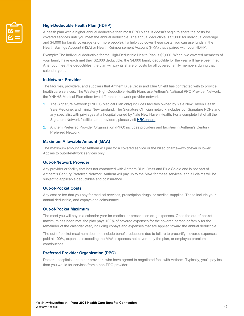

## **High-Deductible Health Plan (HDHP)**

A health plan with a higher annual deductible than most PPO plans. It doesn't begin to share the costs for covered services until you meet the annual deductible. The annual deductible is \$2,000 for individual coverage and \$4,000 for family coverage (2 or more people). To help you cover these costs, you can use funds in the Health Savings Account (HSA) or Health Reimbursement Account (HRA) that's paired with your HDHP.

Example: The individual deductible for the High-Deductible Health Plan is \$2,000. When two covered members of your family have each met their \$2,000 deductible, the \$4,000 family deductible for the year will have been met. After you meet the deductibles, the plan will pay its share of costs for all covered family members during that calendar year.

### **In-Network Provider**

The facilities, providers, and suppliers that Anthem Blue Cross and Blue Shield has contracted with to provide health care services. The Westerly High-Deductible Health Plans use Anthem's National PPO Provider Network; the YNHHS Medical Plan offers two different in-network provider networks:

- 1. The Signature Network (YNHHS Medical Plan only) includes facilities owned by Yale New Haven Health, Yale Medicine, and Trinity New England. The Signature Clinician network includes our Signature PCPs and any specialist with privileges at a hospital owned by Yale New Haven Health. For a complete list of all the Signature Network facilities and providers, please visit HRConnect
- 2. Anthem Preferred Provider Organization (PPO) includes providers and facilities in Anthem's Century Preferred Network.

#### **Maximum Allowable Amount (MAA)**

The maximum amount that Anthem will pay for a covered service or the billed charge—whichever is lower. Applies to out-of-network services only.

#### **Out-of-Network Provider**

Any provider or facility that has not contracted with Anthem Blue Cross and Blue Shield and is not part of Anthem's Century Preferred Network. Anthem will pay up to the MAA for these services, and all claims will be subject to applicable deductibles and coinsurance.

#### **Out-of-Pocket Costs**

Any cost or fee that you pay for medical services, prescription drugs, or medical supplies. These include your annual deductible, and copays and coinsurance.

#### **Out-of-Pocket Maximum**

The most you will pay in a calendar year for medical or prescription drug expenses. Once the out-of-pocket maximum has been met, the play pays 100% of covered expenses for the covered person or family for the remainder of the calendar year, including copays and expenses that are applied toward the annual deductible.

The out-of-pocket maximum does not include benefit reductions due to failure to precertify, covered expenses paid at 100%, expenses exceeding the MAA, expenses not covered by the plan, or employee premium contributions.

#### **Preferred Provider Organization (PPO)**

Doctors, hospitals, and other providers who have agreed to negotiated fees with Anthem. Typically, you'll pay less than you would for services from a non-PPO provider.